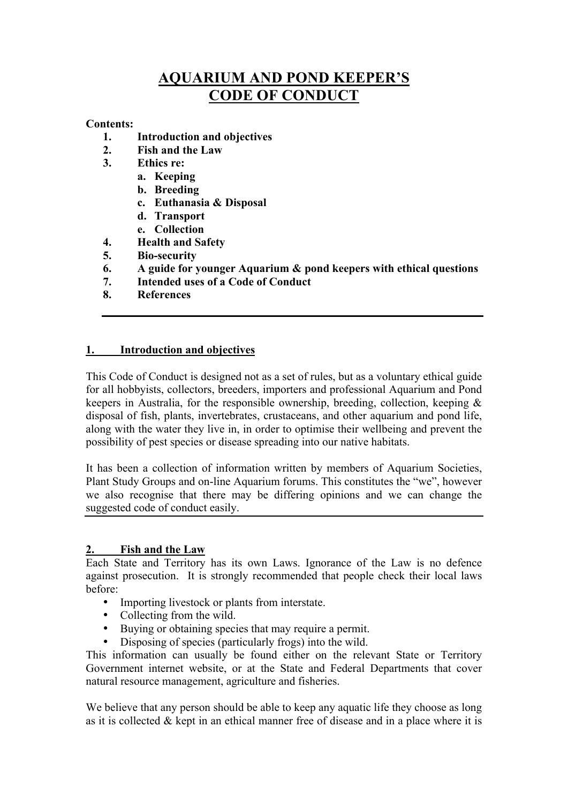# **AQUARIUM AND POND KEEPER'S CODE OF CONDUCT**

### **Contents:**

- **1. Introduction and objectives**
- **2. Fish and the Law**
- **3. Ethics re:** 
	- **a. Keeping**
	- **b. Breeding**
	- **c. Euthanasia & Disposal**
	- **d. Transport**
	- **e. Collection**
- **4. Health and Safety**
- **5. Bio-security**
- **6. A guide for younger Aquarium & pond keepers with ethical questions**
- **7. Intended uses of a Code of Conduct**
- **8. References**

## **1. Introduction and objectives**

This Code of Conduct is designed not as a set of rules, but as a voluntary ethical guide for all hobbyists, collectors, breeders, importers and professional Aquarium and Pond keepers in Australia, for the responsible ownership, breeding, collection, keeping  $\&$ disposal of fish, plants, invertebrates, crustaceans, and other aquarium and pond life, along with the water they live in, in order to optimise their wellbeing and prevent the possibility of pest species or disease spreading into our native habitats.

It has been a collection of information written by members of Aquarium Societies, Plant Study Groups and on-line Aquarium forums. This constitutes the "we", however we also recognise that there may be differing opinions and we can change the suggested code of conduct easily.

## **2. Fish and the Law**

Each State and Territory has its own Laws. Ignorance of the Law is no defence against prosecution. It is strongly recommended that people check their local laws before:

- Importing livestock or plants from interstate.
- Collecting from the wild.
- Buying or obtaining species that may require a permit.
- Disposing of species (particularly frogs) into the wild.

This information can usually be found either on the relevant State or Territory Government internet website, or at the State and Federal Departments that cover natural resource management, agriculture and fisheries.

We believe that any person should be able to keep any aquatic life they choose as long as it is collected  $&$  kept in an ethical manner free of disease and in a place where it is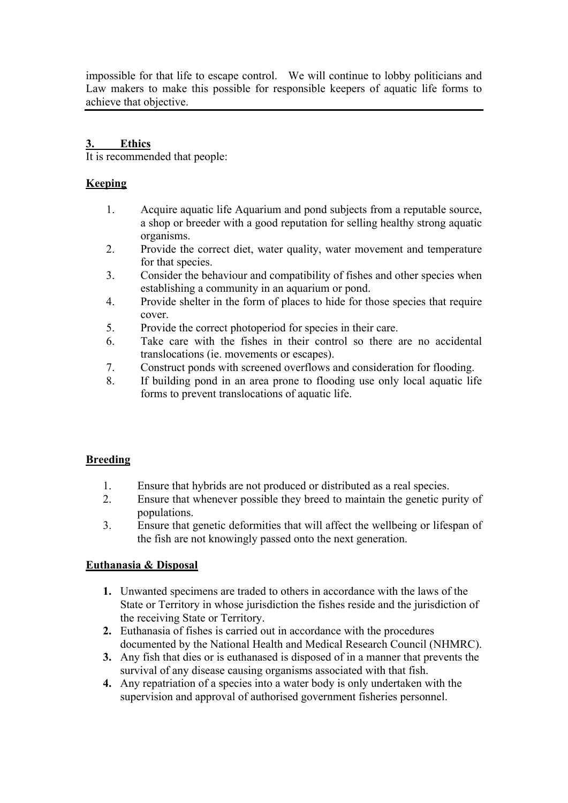impossible for that life to escape control. We will continue to lobby politicians and Law makers to make this possible for responsible keepers of aquatic life forms to achieve that objective.

### **3. Ethics**

It is recommended that people:

## **Keeping**

- 1. Acquire aquatic life Aquarium and pond subjects from a reputable source, a shop or breeder with a good reputation for selling healthy strong aquatic organisms.
- 2. Provide the correct diet, water quality, water movement and temperature for that species.
- 3. Consider the behaviour and compatibility of fishes and other species when establishing a community in an aquarium or pond.
- 4. Provide shelter in the form of places to hide for those species that require cover.
- 5. Provide the correct photoperiod for species in their care.
- 6. Take care with the fishes in their control so there are no accidental translocations (ie. movements or escapes).
- 7. Construct ponds with screened overflows and consideration for flooding.
- 8. If building pond in an area prone to flooding use only local aquatic life forms to prevent translocations of aquatic life.

#### **Breeding**

- 1. Ensure that hybrids are not produced or distributed as a real species.
- 2. Ensure that whenever possible they breed to maintain the genetic purity of populations.
- 3. Ensure that genetic deformities that will affect the wellbeing or lifespan of the fish are not knowingly passed onto the next generation.

## **Euthanasia & Disposal**

- **1.** Unwanted specimens are traded to others in accordance with the laws of the State or Territory in whose jurisdiction the fishes reside and the jurisdiction of the receiving State or Territory.
- **2.** Euthanasia of fishes is carried out in accordance with the procedures documented by the National Health and Medical Research Council (NHMRC).
- **3.** Any fish that dies or is euthanased is disposed of in a manner that prevents the survival of any disease causing organisms associated with that fish.
- **4.** Any repatriation of a species into a water body is only undertaken with the supervision and approval of authorised government fisheries personnel.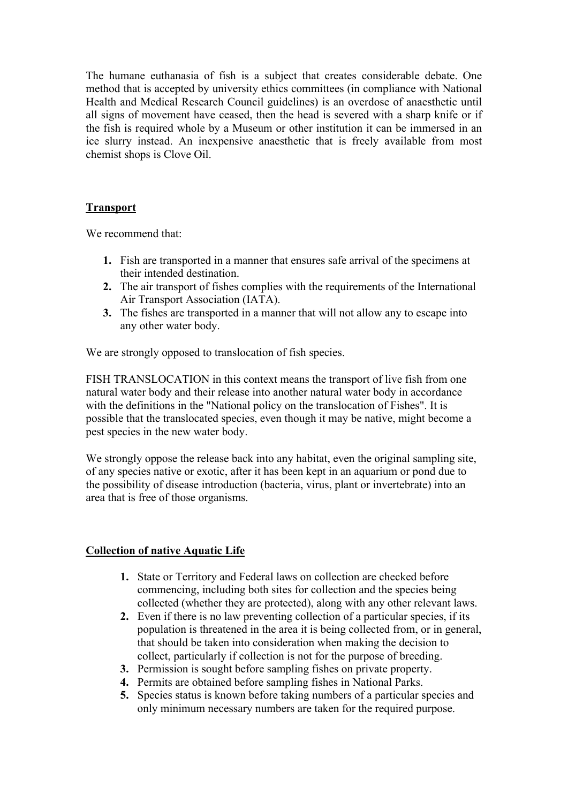The humane euthanasia of fish is a subject that creates considerable debate. One method that is accepted by university ethics committees (in compliance with National Health and Medical Research Council guidelines) is an overdose of anaesthetic until all signs of movement have ceased, then the head is severed with a sharp knife or if the fish is required whole by a Museum or other institution it can be immersed in an ice slurry instead. An inexpensive anaesthetic that is freely available from most chemist shops is Clove Oil.

# **Transport**

We recommend that:

- **1.** Fish are transported in a manner that ensures safe arrival of the specimens at their intended destination.
- **2.** The air transport of fishes complies with the requirements of the International Air Transport Association (IATA).
- **3.** The fishes are transported in a manner that will not allow any to escape into any other water body.

We are strongly opposed to translocation of fish species.

FISH TRANSLOCATION in this context means the transport of live fish from one natural water body and their release into another natural water body in accordance with the definitions in the "National policy on the translocation of Fishes". It is possible that the translocated species, even though it may be native, might become a pest species in the new water body.

We strongly oppose the release back into any habitat, even the original sampling site, of any species native or exotic, after it has been kept in an aquarium or pond due to the possibility of disease introduction (bacteria, virus, plant or invertebrate) into an area that is free of those organisms.

## **Collection of native Aquatic Life**

- **1.** State or Territory and Federal laws on collection are checked before commencing, including both sites for collection and the species being collected (whether they are protected), along with any other relevant laws.
- **2.** Even if there is no law preventing collection of a particular species, if its population is threatened in the area it is being collected from, or in general, that should be taken into consideration when making the decision to collect, particularly if collection is not for the purpose of breeding.
- **3.** Permission is sought before sampling fishes on private property.
- **4.** Permits are obtained before sampling fishes in National Parks.
- **5.** Species status is known before taking numbers of a particular species and only minimum necessary numbers are taken for the required purpose.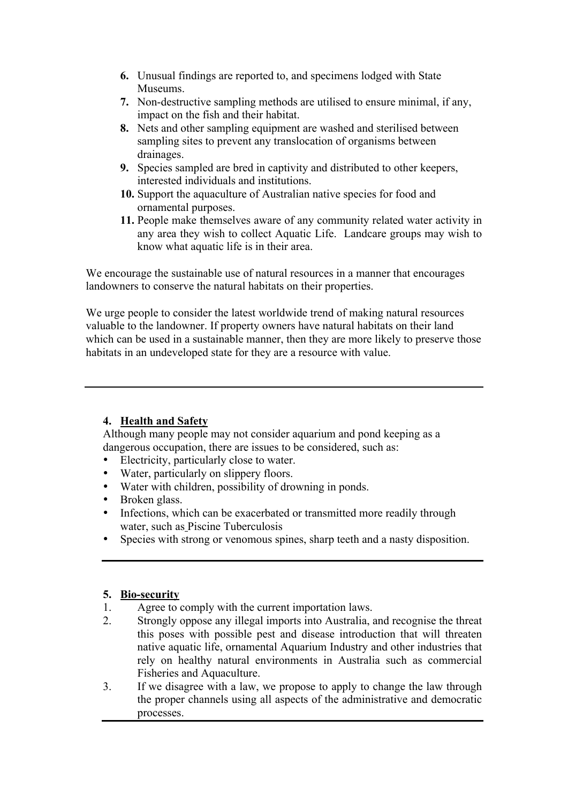- **6.** Unusual findings are reported to, and specimens lodged with State Museums.
- **7.** Non-destructive sampling methods are utilised to ensure minimal, if any, impact on the fish and their habitat.
- **8.** Nets and other sampling equipment are washed and sterilised between sampling sites to prevent any translocation of organisms between drainages.
- **9.** Species sampled are bred in captivity and distributed to other keepers, interested individuals and institutions.
- **10.** Support the aquaculture of Australian native species for food and ornamental purposes.
- **11.** People make themselves aware of any community related water activity in any area they wish to collect Aquatic Life. Landcare groups may wish to know what aquatic life is in their area.

We encourage the sustainable use of natural resources in a manner that encourages landowners to conserve the natural habitats on their properties.

We urge people to consider the latest worldwide trend of making natural resources valuable to the landowner. If property owners have natural habitats on their land which can be used in a sustainable manner, then they are more likely to preserve those habitats in an undeveloped state for they are a resource with value.

## **4. Health and Safety**

Although many people may not consider aquarium and pond keeping as a dangerous occupation, there are issues to be considered, such as:

- Electricity, particularly close to water.
- Water, particularly on slippery floors.<br>• Water with children, possibility of dro
- Water with children, possibility of drowning in ponds.<br>• Broken glass
- Broken glass.
- Infections, which can be exacerbated or transmitted more readily through water, such as Piscine Tuberculosis
- Species with strong or venomous spines, sharp teeth and a nasty disposition.

## **5. Bio-security**

- 1. Agree to comply with the current importation laws.
- 2. Strongly oppose any illegal imports into Australia, and recognise the threat this poses with possible pest and disease introduction that will threaten native aquatic life, ornamental Aquarium Industry and other industries that rely on healthy natural environments in Australia such as commercial Fisheries and Aquaculture.
- 3. If we disagree with a law, we propose to apply to change the law through the proper channels using all aspects of the administrative and democratic processes.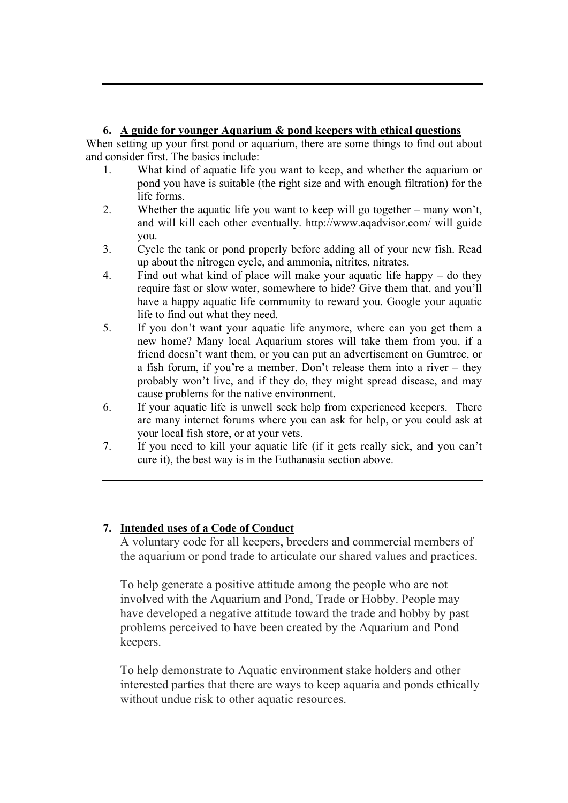# **6. A guide for younger Aquarium & pond keepers with ethical questions**

When setting up your first pond or aquarium, there are some things to find out about and consider first. The basics include:

- 1. What kind of aquatic life you want to keep, and whether the aquarium or pond you have is suitable (the right size and with enough filtration) for the life forms.
- 2. Whether the aquatic life you want to keep will go together many won't, and will kill each other eventually. http://www.aqadvisor.com/ will guide you.
- 3. Cycle the tank or pond properly before adding all of your new fish. Read up about the nitrogen cycle, and ammonia, nitrites, nitrates.
- 4. Find out what kind of place will make your aquatic life happy do they require fast or slow water, somewhere to hide? Give them that, and you'll have a happy aquatic life community to reward you. Google your aquatic life to find out what they need.
- 5. If you don't want your aquatic life anymore, where can you get them a new home? Many local Aquarium stores will take them from you, if a friend doesn't want them, or you can put an advertisement on Gumtree, or a fish forum, if you're a member. Don't release them into a river – they probably won't live, and if they do, they might spread disease, and may cause problems for the native environment.
- 6. If your aquatic life is unwell seek help from experienced keepers. There are many internet forums where you can ask for help, or you could ask at your local fish store, or at your vets.
- 7. If you need to kill your aquatic life (if it gets really sick, and you can't cure it), the best way is in the Euthanasia section above.

## **7. Intended uses of a Code of Conduct**

A voluntary code for all keepers, breeders and commercial members of the aquarium or pond trade to articulate our shared values and practices.

To help generate a positive attitude among the people who are not involved with the Aquarium and Pond, Trade or Hobby. People may have developed a negative attitude toward the trade and hobby by past problems perceived to have been created by the Aquarium and Pond keepers.

To help demonstrate to Aquatic environment stake holders and other interested parties that there are ways to keep aquaria and ponds ethically without undue risk to other aquatic resources.